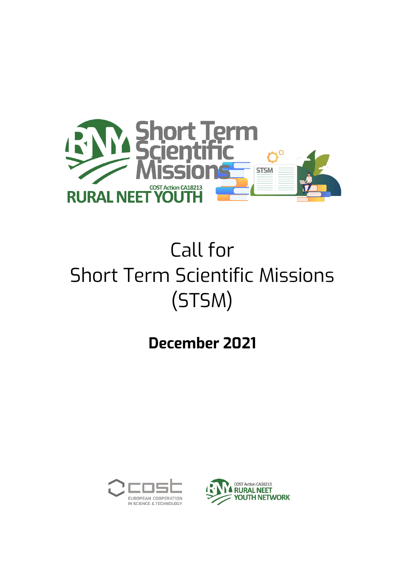

# Call for Short Term Scientific Missions (STSM)

## **December 2021**



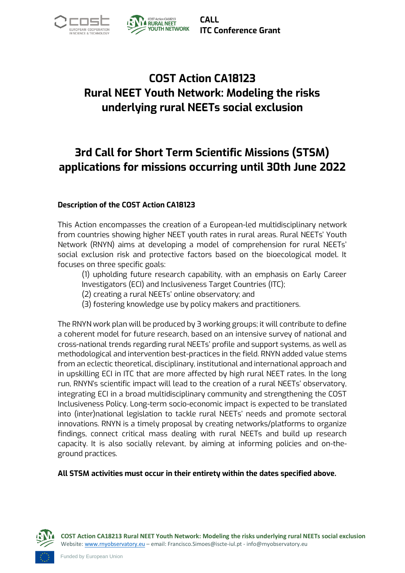



**CALL ITC Conference Grant**

## **COST Action CA18123 Rural NEET Youth Network: Modeling the risks underlying rural NEETs social exclusion**

## **3rd Call for Short Term Scientific Missions (STSM) applications for missions occurring until 30th June 2022**

#### **Description of the COST Action CA18123**

This Action encompasses the creation of a European-led multidisciplinary network from countries showing higher NEET youth rates in rural areas. Rural NEETs' Youth Network (RNYN) aims at developing a model of comprehension for rural NEETs' social exclusion risk and protective factors based on the bioecological model. It focuses on three specific goals:

(1) upholding future research capability, with an emphasis on Early Career Investigators (ECI) and Inclusiveness Target Countries (ITC);

- (2) creating a rural NEETs' online observatory; and
- (3) fostering knowledge use by policy makers and practitioners.

The RNYN work plan will be produced by 3 working groups; it will contribute to define a coherent model for future research, based on an intensive survey of national and cross-national trends regarding rural NEETs' profile and support systems, as well as methodological and intervention best-practices in the field. RNYN added value stems from an eclectic theoretical, disciplinary, institutional and international approach and in upskilling ECI in ITC that are more affected by high rural NEET rates. In the long run, RNYN's scientific impact will lead to the creation of a rural NEETs' observatory, integrating ECI in a broad multidisciplinary community and strengthening the COST Inclusiveness Policy. Long-term socio-economic impact is expected to be translated into (inter)national legislation to tackle rural NEETs' needs and promote sectoral innovations. RNYN is a timely proposal by creating networks/platforms to organize findings, connect critical mass dealing with rural NEETs and build up research capacity. It is also socially relevant, by aiming at informing policies and on-theground practices.

**All STSM activities must occur in their entirety within the dates specified above.** 



**COST Action CA18213 Rural NEET Youth Network: Modeling the risks underlying rural NEETs social exclusion** Website[: www.rnyobservatory.eu](http://www.rnyobservatory.eu/) – email: Francisco.Simoes@iscte-iul.pt - info@rnyobservatory.eu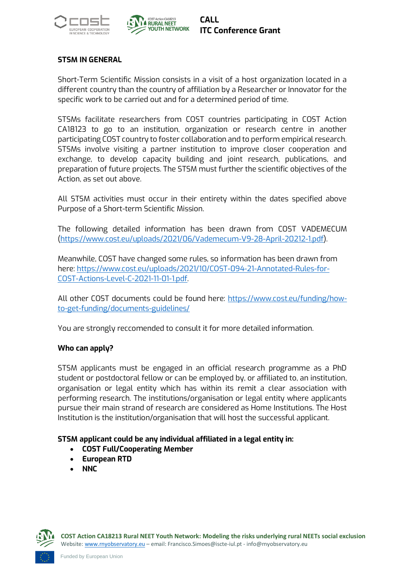



#### **STSM IN GENERAL**

Short-Term Scientific Mission consists in a visit of a host organization located in a different country than the country of affiliation by a Researcher or Innovator for the specific work to be carried out and for a determined period of time.

STSMs facilitate researchers from COST countries participating in COST Action CA18123 to go to an institution, organization or research centre in another participating COST country to foster collaboration and to perform empirical research. STSMs involve visiting a partner institution to improve closer cooperation and exchange, to develop capacity building and joint research, publications, and preparation of future projects. The STSM must further the scientific objectives of the Action, as set out above.

All STSM activities must occur in their entirety within the dates specified above Purpose of a Short-term Scientific Mission.

The following detailed information has been drawn from COST VADEMECUM [\(https://www.cost.eu/uploads/2021/06/Vademecum-V9-28-April-20212-1.pdf\)](https://www.cost.eu/uploads/2021/06/Vademecum-V9-28-April-20212-1.pdf).

Meanwhile, COST have changed some rules, so information has been drawn from here: [https://www.cost.eu/uploads/2021/10/COST-094-21-Annotated-Rules-for-](https://www.cost.eu/uploads/2021/10/COST-094-21-Annotated-Rules-for-COST-Actions-Level-C-2021-11-01-1.pdf)[COST-Actions-Level-C-2021-11-01-1.pdf.](https://www.cost.eu/uploads/2021/10/COST-094-21-Annotated-Rules-for-COST-Actions-Level-C-2021-11-01-1.pdf) 

All other COST documents could be found here: [https://www.cost.eu/funding/how](https://www.cost.eu/funding/how-to-get-funding/documents-guidelines/)[to-get-funding/documents-guidelines/](https://www.cost.eu/funding/how-to-get-funding/documents-guidelines/)

You are strongly reccomended to consult it for more detailed information.

#### **Who can apply?**

STSM applicants must be engaged in an official research programme as a PhD student or postdoctoral fellow or can be employed by, or affiliated to, an institution, organisation or legal entity which has within its remit a clear association with performing research. The institutions/organisation or legal entity where applicants pursue their main strand of research are considered as Home Institutions. The Host Institution is the institution/organisation that will host the successful applicant.

#### **STSM applicant could be any individual affiliated in a legal entity in:**

- **COST Full/Cooperating Member**
- **European RTD**
- **NNC**

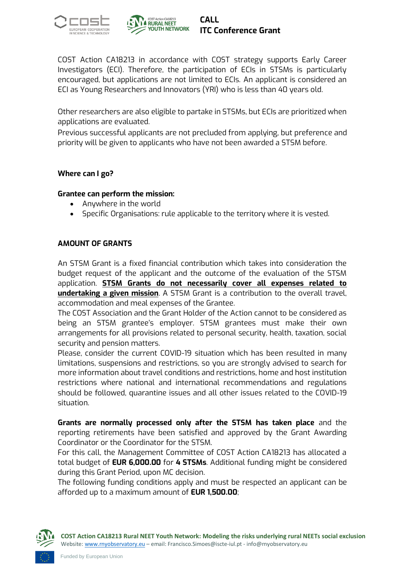



COST Action CA18213 in accordance with COST strategy supports Early Career Investigators (ECI). Therefore, the participation of ECIs in STSMs is particularly encouraged, but applications are not limited to ECIs. An applicant is considered an ECI as Young Researchers and Innovators (YRI) who is less than 40 years old.

Other researchers are also eligible to partake in STSMs, but ECIs are prioritized when applications are evaluated.

Previous successful applicants are not precluded from applying, but preference and priority will be given to applicants who have not been awarded a STSM before.

#### **Where can I go?**

#### **Grantee can perform the mission:**

- Anywhere in the world
- Specific Organisations: rule applicable to the territory where it is vested.

#### **AMOUNT OF GRANTS**

An STSM Grant is a fixed financial contribution which takes into consideration the budget request of the applicant and the outcome of the evaluation of the STSM application. **STSM Grants do not necessarily cover all expenses related to undertaking a given mission**. A STSM Grant is a contribution to the overall travel, accommodation and meal expenses of the Grantee.

The COST Association and the Grant Holder of the Action cannot to be considered as being an STSM grantee's employer. STSM grantees must make their own arrangements for all provisions related to personal security, health, taxation, social security and pension matters.

Please, consider the current COVID-19 situation which has been resulted in many limitations, suspensions and restrictions, so you are strongly advised to search for more information about travel conditions and restrictions, home and host institution restrictions where national and international recommendations and regulations should be followed, quarantine issues and all other issues related to the COVID-19 situation.

**Grants are normally processed only after the STSM has taken place** and the reporting retirements have been satisfied and approved by the Grant Awarding Coordinator or the Coordinator for the STSM.

For this call, the Management Committee of COST Action CA18213 has allocated a total budget of **EUR 6,000.00** for **4 STSMs**. Additional funding might be considered during this Grant Period, upon MC decision.

The following funding conditions apply and must be respected an applicant can be afforded up to a maximum amount of **EUR 1,500.00**;

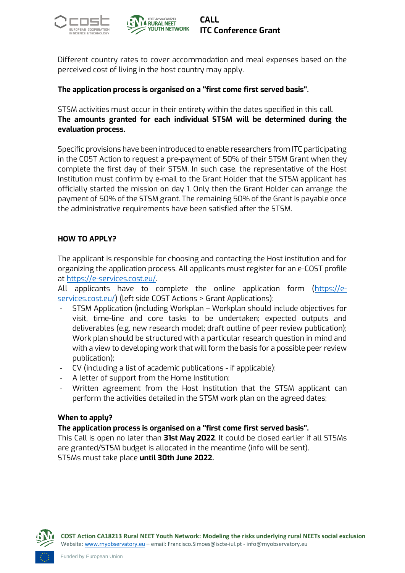



Different country rates to cover accommodation and meal expenses based on the perceived cost of living in the host country may apply.

#### **The application process is organised on a ''first come first served basis''.**

STSM activities must occur in their entirety within the dates specified in this call. **The amounts granted for each individual STSM will be determined during the evaluation process.**

Specific provisions have been introduced to enable researchers from ITC participating in the COST Action to request a pre-payment of 50% of their STSM Grant when they complete the first day of their STSM. In such case, the representative of the Host Institution must confirm by e-mail to the Grant Holder that the STSM applicant has officially started the mission on day 1. Only then the Grant Holder can arrange the payment of 50% of the STSM grant. The remaining 50% of the Grant is payable once the administrative requirements have been satisfied after the STSM.

#### **HOW TO APPLY?**

The applicant is responsible for choosing and contacting the Host institution and for organizing the application process. All applicants must register for an e-COST profile at [https://e-services.cost.eu/.](https://e-services.cost.eu/)

All applicants have to complete the online application form [\(https://e](https://e-services.cost.eu/)[services.cost.eu/\)](https://e-services.cost.eu/) (left side COST Actions > Grant Applications):

- STSM Application (including Workplan Workplan should include objectives for visit, time-line and core tasks to be undertaken; expected outputs and deliverables (e.g. new research model; draft outline of peer review publication); Work plan should be structured with a particular research question in mind and with a view to developing work that will form the basis for a possible peer review publication);
- CV (including a list of academic publications if applicable);
- A letter of support from the Home Institution;
- Written agreement from the Host Institution that the STSM applicant can perform the activities detailed in the STSM work plan on the agreed dates;

#### **When to apply?**

#### **The application process is organised on a ''first come first served basis''.**

This Call is open no later than **31st May 2022**. It could be closed earlier if all STSMs are granted/STSM budget is allocated in the meantime (info will be sent). STSMs must take place **until 30th June 2022.**

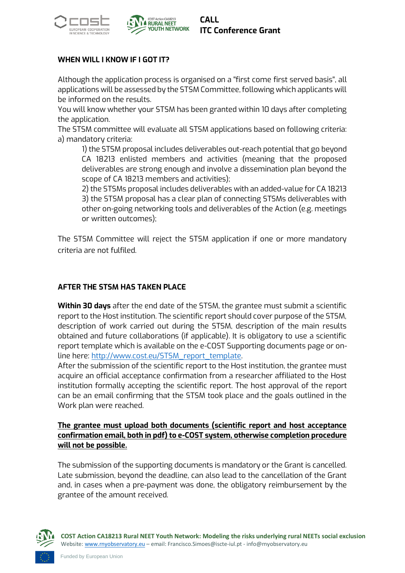



#### **WHEN WILL I KNOW IF I GOT IT?**

Although the application process is organised on a ''first come first served basis'', all applications will be assessed by the STSM Committee, following which applicants will be informed on the results.

You will know whether your STSM has been granted within 10 days after completing the application.

The STSM committee will evaluate all STSM applications based on following criteria: a) mandatory criteria:

1) the STSM proposal includes deliverables out-reach potential that go beyond CA 18213 enlisted members and activities (meaning that the proposed deliverables are strong enough and involve a dissemination plan beyond the scope of CA 18213 members and activities);

2) the STSMs proposal includes deliverables with an added-value for CA 18213 3) the STSM proposal has a clear plan of connecting STSMs deliverables with other on-going networking tools and deliverables of the Action (e.g. meetings or written outcomes);

The STSM Committee will reject the STSM application if one or more mandatory criteria are not fulfiled.

#### **AFTER THE STSM HAS TAKEN PLACE**

**Within 30 days** after the end date of the STSM, the grantee must submit a scientific report to the Host institution. The scientific report should cover purpose of the STSM, description of work carried out during the STSM, description of the main results obtained and future collaborations (if applicable). It is obligatory to use a scientific report template which is available on the e-COST Supporting documents page or online here: [http://www.cost.eu/STSM\\_report\\_template.](http://www.cost.eu/STSM_report_template) 

After the submission of the scientific report to the Host institution, the grantee must acquire an official acceptance confirmation from a researcher affiliated to the Host institution formally accepting the scientific report. The host approval of the report can be an email confirming that the STSM took place and the goals outlined in the Work plan were reached.

#### **The grantee must upload both documents (scientific report and host acceptance confirmation email, both in pdf) to e-COST system, otherwise completion procedure will not be possible.**

The submission of the supporting documents is mandatory or the Grant is cancelled. Late submission, beyond the deadline, can also lead to the cancellation of the Grant and, in cases when a pre-payment was done, the obligatory reimbursement by the grantee of the amount received.



**COST Action CA18213 Rural NEET Youth Network: Modeling the risks underlying rural NEETs social exclusion** Website[: www.rnyobservatory.eu](http://www.rnyobservatory.eu/) – email: Francisco.Simoes@iscte-iul.pt - info@rnyobservatory.eu